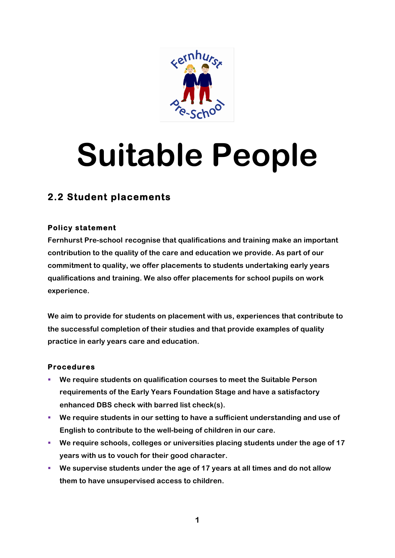

## **Suitable People**

## **2.2 Student placements**

## **Policy statement**

**Fernhurst Pre-school recognise that qualifications and training make an important contribution to the quality of the care and education we provide. As part of our commitment to quality, we offer placements to students undertaking early years qualifications and training. We also offer placements for school pupils on work experience.**

**We aim to provide for students on placement with us, experiences that contribute to the successful completion of their studies and that provide examples of quality practice in early years care and education.**

## **Procedures**

- § **We require students on qualification courses to meet the Suitable Person requirements of the Early Years Foundation Stage and have a satisfactory enhanced DBS check with barred list check(s).**
- § **We require students in our setting to have a sufficient understanding and use of English to contribute to the well-being of children in our care.**
- § **We require schools, colleges or universities placing students under the age of 17 years with us to vouch for their good character.**
- § **We supervise students under the age of 17 years at all times and do not allow them to have unsupervised access to children.**